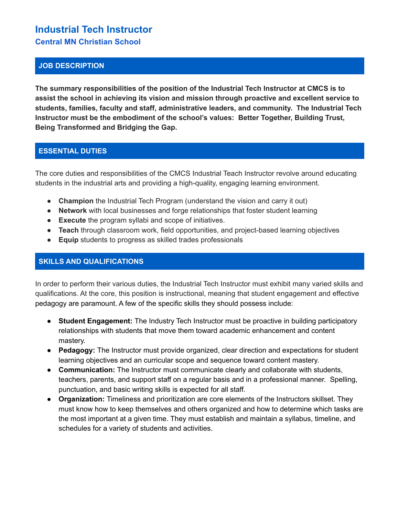# **Industrial Tech Instructor Central MN Christian School**

#### **JOB DESCRIPTION**

**The summary responsibilities of the position of the Industrial Tech Instructor at CMCS is to assist the school in achieving its vision and mission through proactive and excellent service to students, families, faculty and staff, administrative leaders, and community. The Industrial Tech Instructor must be the embodiment of the school's values: Better Together, Building Trust, Being Transformed and Bridging the Gap.**

## **ESSENTIAL DUTIES**

The core duties and responsibilities of the CMCS Industrial Teach Instructor revolve around educating students in the industrial arts and providing a high-quality, engaging learning environment.

- **Champion** the Industrial Tech Program (understand the vision and carry it out)
- **Network** with local businesses and forge relationships that foster student learning
- **Execute** the program syllabi and scope of initiatives.
- **● Teach** through classroom work, field opportunities, and project-based learning objectives
- **Equip** students to progress as skilled trades professionals

#### **SKILLS AND QUALIFICATIONS**

In order to perform their various duties, the Industrial Tech Instructor must exhibit many varied skills and qualifications. At the core, this position is instructional, meaning that student engagement and effective pedagogy are paramount. A few of the specific skills they should possess include:

- **Student Engagement:** The Industry Tech Instructor must be proactive in building participatory relationships with students that move them toward academic enhancement and content mastery.
- **Pedagogy:** The Instructor must provide organized, clear direction and expectations for student learning objectives and an curricular scope and sequence toward content mastery.
- **Communication:** The Instructor must communicate clearly and collaborate with students, teachers, parents, and support staff on a regular basis and in a professional manner. Spelling, punctuation, and basic writing skills is expected for all staff.
- **Organization:** Timeliness and prioritization are core elements of the Instructors skillset. They must know how to keep themselves and others organized and how to determine which tasks are the most important at a given time. They must establish and maintain a syllabus, timeline, and schedules for a variety of students and activities.